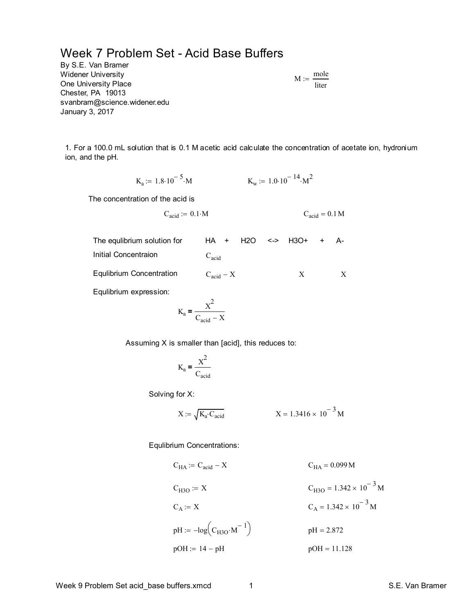## Week 7 Problem Set - Acid Base Buffers

By S.E. Van Bramer Widener University One University Place Chester, PA 19013 svanbram@science.widener.edu January 3, 2017

$$
M:=\frac{\text{mole}}{\text{liter}}
$$

1. For a 100.0 mL solution that is 0.1 M acetic acid calculate the concentration of acetate ion, hydronium ion, and the pH.

$$
K_a := 1.8 \cdot 10^{-5} \cdot M
$$
  $K_w := 1.0 \cdot 10^{-14} \cdot M^2$ 

The concentration of the acid is

$$
C_{acid} := 0.1 \cdot M \qquad C_{acid} = 0.1 M
$$

| The equilbrium solution for | HA + H2O <-> H3O+ + A- |  |   |  |  |
|-----------------------------|------------------------|--|---|--|--|
| Initial Concentraion        | $C_{\text{acid}}$      |  |   |  |  |
| Equlibrium Concentration    | $C_{\text{acid}} - X$  |  | X |  |  |
| Equiption overassion:       |                        |  |   |  |  |

Equlibrium expression:

$$
K_a = \frac{X^2}{C_{acid} - X}
$$

Assuming X is smaller than [acid], this reduces to:

$$
K_a = \frac{X^2}{C_{acid}}
$$

Solving for X:

$$
X := \sqrt{K_a \cdot C_{acid}}
$$
  $X = 1.3416 \times 10^{-3} M$ 

Equlibrium Concentrations:

$$
C_{HA} := C_{acid} - X
$$
  
\n
$$
C_{H3O} := X
$$
  
\n
$$
C_{A} := X
$$
  
\n
$$
C_{A} := X
$$
  
\n
$$
C_{H3O} = 1.342 \times 10^{-3} M
$$
  
\n
$$
C_{A} = 1.342 \times 10^{-3} M
$$
  
\n
$$
pH := -log(C_{H3O} \cdot M^{-1})
$$
  
\n
$$
pH = 2.872
$$
  
\n
$$
pOH = 11.128
$$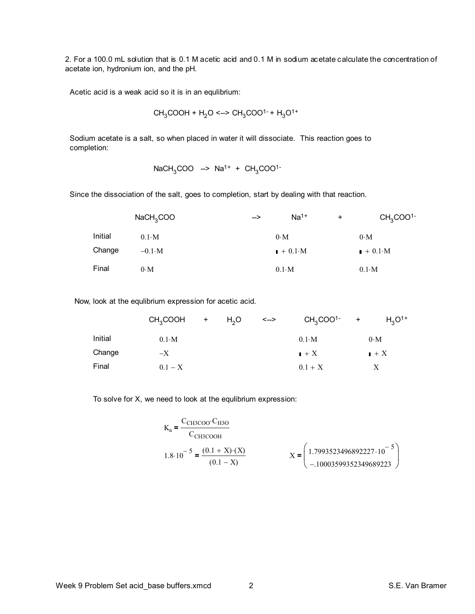2. For a 100.0 mL solution that is 0.1 M acetic acid and 0.1 M in sodium acetate calculate the concentration of acetate ion, hydronium ion, and the pH.

Acetic acid is a weak acid so it is in an equlibrium:

$$
CH_3COOH + H_2O \leq -> CH_3COO^{1-} + H_3O^{1+}
$$

Sodium acetate is a salt, so when placed in water it will dissociate. This reaction goes to completion:

$$
NaCH3COO \rightarrow Na1+ + CH3COO1-
$$

Since the dissociation of the salt, goes to completion, start by dealing with that reaction.

|         | NaCH <sub>3</sub> COO | $Na1+$<br>--> | CH <sub>3</sub> COO <sup>1</sup><br>$\ddot{}$ |  |
|---------|-----------------------|---------------|-----------------------------------------------|--|
| Initial | $0.1 \cdot M$         | $0 \cdot M$   | $0 \cdot M$                                   |  |
| Change  | $-0.1\,$ M            | $+0.1$ M      | $\mathbf{I} + 0.1 \cdot \mathbf{M}$           |  |
| Final   | $0 \cdot M$           | $0.1 \cdot M$ | $0.1\text{·M}$                                |  |

Now, look at the equlibrium expression for acetic acid.

|         | $CH3COOH$ + $H2O$ |  | —> | $CH3COO1-$       | $+$              | $H_3O^{1+}$ |
|---------|-------------------|--|----|------------------|------------------|-------------|
| Initial | $0.1\text{·M}$    |  |    | $0.1 \cdot M$    | $0 \cdot M$      |             |
| Change  | $-X$              |  |    | $\mathbf{I} + X$ | $\mathbf{I} + X$ |             |
| Final   | $0.1 - X$         |  |    | $0.1 + X$        |                  |             |

To solve for X, we need to look at the equlibrium expression:

$$
K_{a} = \frac{C_{CH3COO} \cdot C_{H3O}}{C_{CH3COOH}}
$$
  
1.8·10<sup>-5</sup> =  $\frac{(0.1 + X) \cdot (X)}{(0.1 - X)}$   

$$
X = \begin{pmatrix} 1.7993523496892227 \cdot 10^{-5} \\ -10003599352349689223 \end{pmatrix}
$$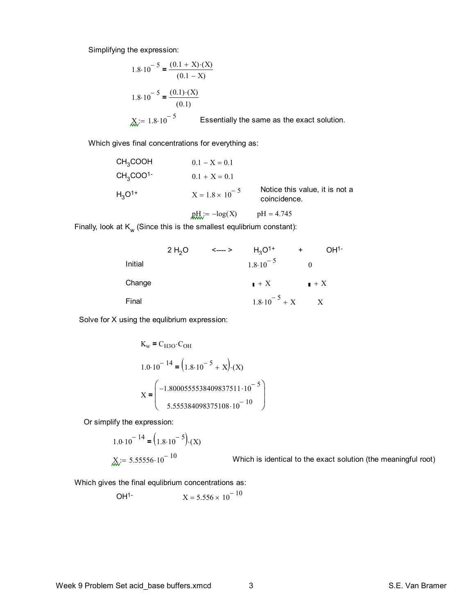Simplifying the expression:

$$
1.8 \cdot 10^{-5} = \frac{(0.1 + X) \cdot (X)}{(0.1 - X)}
$$
  

$$
1.8 \cdot 10^{-5} = \frac{(0.1) \cdot (X)}{(0.1)}
$$
  

$$
X := 1.8 \cdot 10^{-5}
$$
 Essentially the same as the exact solution.

Which gives final concentrations for everything as:

| CH <sub>3</sub> COOH             | $0.1 - X = 0.1$          |                                                |
|----------------------------------|--------------------------|------------------------------------------------|
| CH <sub>3</sub> COO <sup>1</sup> | $0.1 + X = 0.1$          |                                                |
| $H_3O^{1+}$                      | $X = 1.8 \times 10^{-5}$ | Notice this value, it is not a<br>coincidence. |
|                                  | $pH_i = -\log(X)$        | $pH = 4.745$                                   |

Finally, look at  $\mathsf{K}_{_{\mathsf{W}}}$  (Since this is the smallest equlibrium constant):

|         | 2 H <sub>2</sub> O | $\leftarrow$ $\rightarrow$ | $H_3O^{1+}$               | $\ddot{}$        | OH <sup>1</sup> |
|---------|--------------------|----------------------------|---------------------------|------------------|-----------------|
| Initial |                    |                            | $1.8 \cdot 10^{-5}$       |                  |                 |
| Change  |                    |                            | $\mathbf{I} + X$          | $\mathbf{I} + X$ |                 |
| Final   |                    |                            | $1.8 \cdot 10^{-5} + X$ X |                  |                 |

Solve for X using the equlibrium expression:

$$
K_{w} = C_{H3O} \cdot C_{OH}
$$
  
1.0·10<sup>-14</sup> = (1.8·10<sup>-5</sup> + X). (X)  

$$
X = \begin{pmatrix} -1.8000555538409837511 \cdot 10^{-5} \\ 5.555384098375108 \cdot 10^{-10} \end{pmatrix}
$$

Or simplify the expression:

$$
1.0 \cdot 10^{-14} = (1.8 \cdot 10^{-5}) \cdot (X)
$$
  

$$
X := 5.55556 \cdot 10^{-10}
$$
 Which is identical to the exact solution (the meaningful root)

Which gives the final equlibrium concentrations as:

$$
OH1- \tX = 5.556 \times 10-10
$$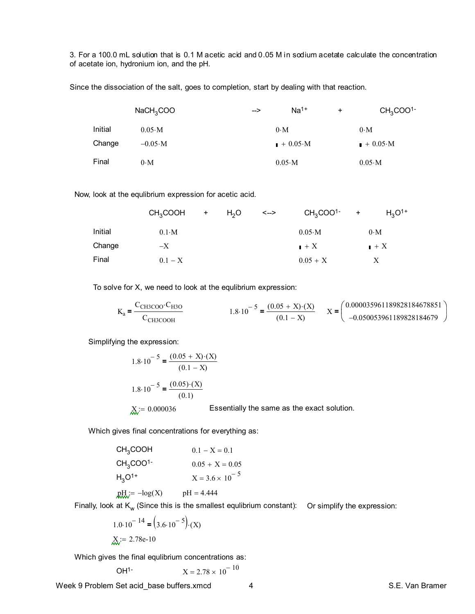3. For a 100.0 mL solution that is 0.1 M acetic acid and 0.05 M in sodium acetate calculate the concentration of acetate ion, hydronium ion, and the pH.

Since the dissociation of the salt, goes to completion, start by dealing with that reaction.

|         | NaCH <sub>3</sub> COO | $Na1+$<br>-->   | $\ddot{}$ | CH <sub>3</sub> COO <sup>1</sup> |
|---------|-----------------------|-----------------|-----------|----------------------------------|
| Initial | $0.05 \text{·M}$      | $0 \cdot M$     |           | $0 \cdot M$                      |
| Change  | $-0.05 \cdot M$       | $+0.05 \cdot M$ |           | $+0.05 \cdot M$                  |
| Final   | $0 \cdot M$           | $0.05 \cdot M$  |           | $0.05 \cdot M$                   |

Now, look at the equlibrium expression for acetic acid.

|         | $CH3COOH$ +   | H <sub>2</sub> O | <--> | $CH3COO1-$       | $+$              | $H_3O^{1+}$ |
|---------|---------------|------------------|------|------------------|------------------|-------------|
| Initial | $0.1 \cdot M$ |                  |      | $0.05 \text{ M}$ | $0 \cdot M$      |             |
| Change  | $-X$          |                  |      | $\mathbf{I} + X$ | $\mathbf{I} + X$ |             |
| Final   | $0.1 - X$     |                  |      | $0.05 + X$       |                  |             |

To solve for X, we need to look at the equlibrium expression:

$$
K_a = \frac{C_{CH3COO} \cdot C_{H3O}}{C_{CH3COOH}}
$$
  
1.8·10<sup>-5</sup> =  $\frac{(0.05 + X) \cdot (X)}{(0.1 - X)}$   

$$
X = \begin{pmatrix} 0.000035961189828184678851 \\ -0.050053961189828184679 \end{pmatrix}
$$

Simplifying the expression:

1.8·10<sup>-5</sup> = 
$$
\frac{(0.05 + X)\cdot(X)}{(0.1 - X)}
$$
  
1.8·10<sup>-5</sup> = 
$$
\frac{(0.05)\cdot(X)}{(0.1)}
$$
  

$$
X := 0.000036
$$
 Essentially the same as the exact solution.

Which gives final concentrations for everything as:

| CH <sub>3</sub> COOH             | $0.1 - X = 0.1$          |
|----------------------------------|--------------------------|
| CH <sub>3</sub> COO <sup>1</sup> | $0.05 + X = 0.05$        |
| $H_3O^{1+}$                      | $X = 3.6 \times 10^{-5}$ |
| $R_{\text{max}} = -\log(X)$      | $pH = 4.444$             |
|                                  |                          |

Finally, look at  $\mathsf{K}_w$  (Since this is the smallest equlibrium constant): Or simplify the expression:

$$
1.0 \cdot 10^{-14} = (3.6 \cdot 10^{-5}) \cdot (X)
$$
  

$$
X = 2.78e-10
$$

Which gives the final equlibrium concentrations as:

$$
OH1- \tX = 2.78 \times 10-10
$$

Week 9 Problem Set acid\_base buffers.xmcd 4 4 S.E. Van Bramer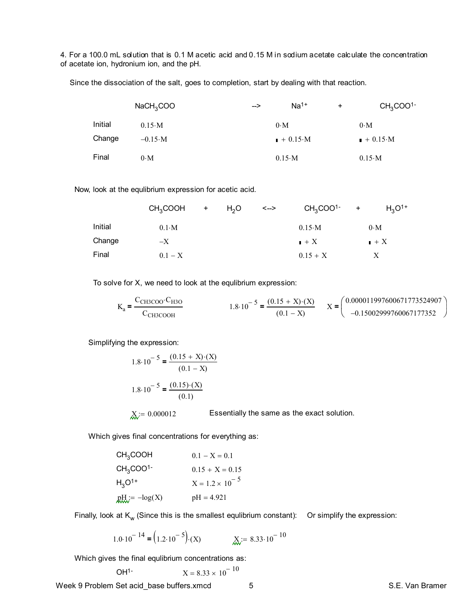4. For a 100.0 mL solution that is 0.1 M acetic acid and 0.15 M in sodium acetate calculate the concentration of acetate ion, hydronium ion, and the pH.

Since the dissociation of the salt, goes to completion, start by dealing with that reaction.

|         | NaCH <sub>3</sub> COO | --> | $Na1+$          | $\ddot{}$ | CH <sub>3</sub> COO <sup>1</sup> |
|---------|-----------------------|-----|-----------------|-----------|----------------------------------|
| Initial | $0.15 \cdot M$        |     | $0 \cdot M$     |           | $0 \cdot M$                      |
| Change  | $-0.15 \cdot M$       |     | $+0.15 \cdot M$ |           | $+0.15 \cdot M$                  |
| Final   | $0 \cdot M$           |     | $0.15 \, M$     |           | $0.15 \, M$                      |

Now, look at the equlibrium expression for acetic acid.

|         | $CH3COOH$ + $H2O$ |  | <--> | $CH3COO1-$                | $+$ | $H_3O^{1+}$      |
|---------|-------------------|--|------|---------------------------|-----|------------------|
| Initial | $0.1\,$ M         |  |      | $0.15 \, M$               |     | $0 \cdot M$      |
| Change  | $-X$              |  |      | $\mathbf{I} + \mathbf{X}$ |     | $\mathbf{I} + X$ |
| Final   | $0.1 - X$         |  |      | $0.15 + X$                |     |                  |

To solve for X, we need to look at the equlibrium expression:

$$
K_a = \frac{C_{CH3COO} \cdot C_{H3O}}{C_{CH3COOH}}
$$
  
1.8·10<sup>-5</sup> =  $\frac{(0.15 + X) \cdot (X)}{(0.1 - X)}$   

$$
X = \begin{pmatrix} 0.000011997600671773524907 \\ -0.15002999760067177352 \end{pmatrix}
$$

Simplifying the expression:

1.8·10<sup>-5</sup> = 
$$
\frac{(0.15 + X) \cdot (X)}{(0.1 - X)}
$$
  
\n1.8·10<sup>-5</sup> =  $\frac{(0.15) \cdot (X)}{(0.1)}$   
\nX := 0.000012 Essentially the same as the exact solution.

Which gives final concentrations for everything as:

| CH <sub>3</sub> COOH             | $0.1 - X = 0.1$          |
|----------------------------------|--------------------------|
| CH <sub>3</sub> COO <sup>1</sup> | $0.15 + X = 0.15$        |
| $H_3O^{1+}$                      | $X = 1.2 \times 10^{-5}$ |
| $R_{\text{max}} = -\log(X)$      | $pH = 4.921$             |

Finally, look at  $\mathsf{K}_\mathsf{w}$  (Since this is the smallest equlibrium constant): Or simplify the expression:

1.0·10<sup>-14</sup> = 
$$
(1.2 \cdot 10^{-5}) \cdot (X)
$$
   
  $\underset{\text{AW}}{X} = 8.33 \cdot 10^{-10}$ 

Which gives the final equlibrium concentrations as:

$$
X = 8.33 \times 10^{-10}
$$

Week 9 Problem Set acid\_base buffers.xmcd 5 5 S.E. Van Bramer